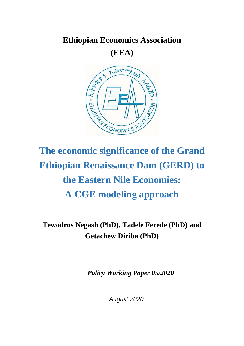# **Ethiopian Economics Association (EEA)**



# **The economic significance of the Grand Ethiopian Renaissance Dam (GERD) to the Eastern Nile Economies: A CGE modeling approach**

# **Tewodros Negash (PhD), Tadele Ferede (PhD) and Getachew Diriba (PhD)**

*Policy Working Paper 05/2020*

*August 2020*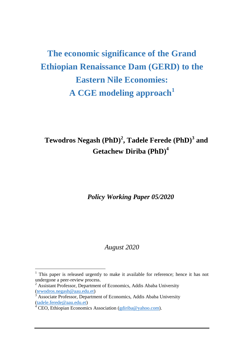# **The economic significance of the Grand Ethiopian Renaissance Dam (GERD) to the Eastern Nile Economies: A CGE modeling approach<sup>1</sup>**

# **Tewodros Negash (PhD)<sup>2</sup> , Tadele Ferede (PhD)<sup>3</sup> and Getachew Diriba (PhD)<sup>4</sup>**

*Policy Working Paper 05/2020*

### *August 2020*

 $\overline{\phantom{a}}$ 

 $1$  This paper is released urgently to make it available for reference; hence it has not undergone a peer-review process.

 $2$  Assistant Professor, Department of Economics, Addis Ababa University [\(tewodros.negash@aau.edu.et\)](mailto:tewodros.negash@aau.edu.et)

 $\frac{3}{3}$  Associate Professor, Department of Economics, Addis Ababa University [\(tadele.ferede@aau.edu.et\)](mailto:tadele.ferede@aau.edu.et)

<sup>&</sup>lt;sup>4</sup> CEO, Ethiopian Economics Association [\(gdiriba@yahoo.com\)](mailto:gdiriba@yahoo.com).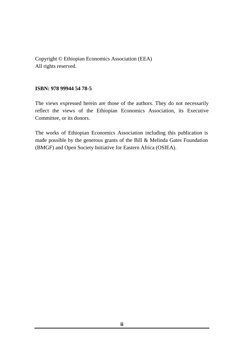Copyright © Ethiopian Economics Association (EEA) All rights reserved.

#### **ISBN: 978 99944 54 78-5**

The views expressed herein are those of the authors. They do not necessarily reflect the views of the Ethiopian Economics Association, its Executive Committee, or its donors.

The works of Ethiopian Economics Association including this publication is made possible by the generous grants of the Bill & Melinda Gates Foundation (BMGF) and Open Society Initiative for Eastern Africa (OSIEA).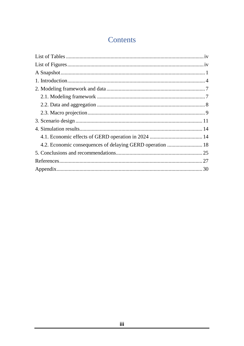# Contents

| 4.2. Economic consequences of delaying GERD operation  18 |  |
|-----------------------------------------------------------|--|
|                                                           |  |
|                                                           |  |
|                                                           |  |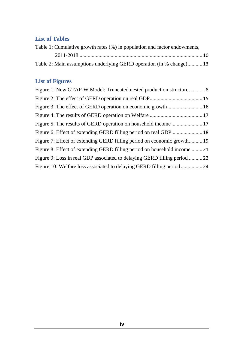## <span id="page-4-0"></span>**List of Tables**

| Table 1: Cumulative growth rates (%) in population and factor endowments, |  |
|---------------------------------------------------------------------------|--|
|                                                                           |  |
| Table 2: Main assumptions underlying GERD operation (in % change) 13      |  |

# <span id="page-4-1"></span>**List of Figures**

| Figure 1: New GTAP-W Model: Truncated nested production structure 8       |  |
|---------------------------------------------------------------------------|--|
|                                                                           |  |
|                                                                           |  |
|                                                                           |  |
|                                                                           |  |
|                                                                           |  |
| Figure 7: Effect of extending GERD filling period on economic growth 19   |  |
| Figure 8: Effect of extending GERD filling period on household income 21  |  |
| Figure 9: Loss in real GDP associated to delaying GERD filling period  22 |  |
| Figure 10: Welfare loss associated to delaying GERD filling period 24     |  |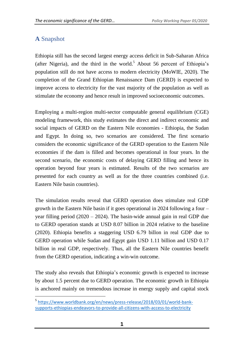# <span id="page-5-0"></span>**A** Snapshot

 $\overline{\phantom{a}}$ 

Ethiopia still has the second largest energy access deficit in Sub-Saharan Africa (after Nigeria), and the third in the world.<sup>5</sup> About 56 percent of Ethiopia's population still do not have access to modern electricity (MoWIE, 2020). The completion of the Grand Ethiopian Renaissance Dam (GERD) is expected to improve access to electricity for the vast majority of the population as well as stimulate the economy and hence result in improved socioeconomic outcomes.

Employing a multi-region multi-sector computable general equilibrium (CGE) modeling framework, this study estimates the direct and indirect economic and social impacts of GERD on the Eastern Nile economies - Ethiopia, the Sudan and Egypt. In doing so, two scenarios are considered. The first scenario considers the economic significance of the GERD operation to the Eastern Nile economies if the dam is filled and becomes operational in four years. In the second scenario, the economic costs of delaying GERD filling and hence its operation beyond four years is estimated. Results of the two scenarios are presented for each country as well as for the three countries combined (i.e. Eastern Nile basin countries).

The simulation results reveal that GERD operation does stimulate real GDP growth in the Eastern Nile basin if it goes operational in 2024 following a four – year filling period  $(2020 - 2024)$ . The basin-wide annual gain in real GDP due to GERD operation stands at USD 8.07 billion in 2024 relative to the baseline (2020). Ethiopia benefits a staggering USD 6.79 billon in real GDP due to GERD operation while Sudan and Egypt gain USD 1.11 billion and USD 0.17 billion in real GDP, respectively. Thus, all the Eastern Nile countries benefit from the GERD operation, indicating a win-win outcome.

The study also reveals that Ethiopia's economic growth is expected to increase by about 1.5 percent due to GERD operation. The economic growth in Ethiopia is anchored mainly on tremendous increase in energy supply and capital stock

<sup>&</sup>lt;sup>5</sup> [https://www.worldbank.org/en/news/press-release/2018/03/01/world-bank](https://www.worldbank.org/en/news/press-release/2018/03/01/world-bank-supports-ethiopias-endeavors-to-provide-all-citizens-with-access-to-electricity)[supports-ethiopias-endeavors-to-provide-all-citizens-with-access-to-electricity](https://www.worldbank.org/en/news/press-release/2018/03/01/world-bank-supports-ethiopias-endeavors-to-provide-all-citizens-with-access-to-electricity)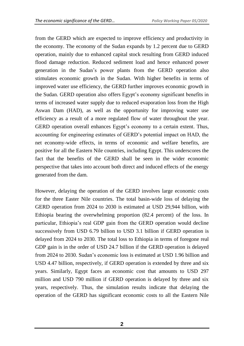from the GERD which are expected to improve efficiency and productivity in the economy. The economy of the Sudan expands by 1.2 percent due to GERD operation, mainly due to enhanced capital stock resulting from GERD induced flood damage reduction. Reduced sediment load and hence enhanced power generation in the Sudan's power plants from the GERD operation also stimulates economic growth in the Sudan. With higher benefits in terms of improved water use efficiency, the GERD further improves economic growth in the Sudan. GERD operation also offers Egypt's economy significant benefits in terms of increased water supply due to reduced evaporation loss from the High Aswan Dam (HAD), as well as the opportunity for improving water use efficiency as a result of a more regulated flow of water throughout the year. GERD operation overall enhances Egypt's economy to a certain extent. Thus, accounting for engineering estimates of GERD's potential impact on HAD, the net economy-wide effects, in terms of economic and welfare benefits, are positive for all the Eastern Nile countries, including Egypt. This underscores the fact that the benefits of the GERD shall be seen in the wider economic perspective that takes into account both direct and induced effects of the energy generated from the dam.

However, delaying the operation of the GERD involves large economic costs for the three Easter Nile countries. The total basin-wide loss of delaying the GERD operation from 2024 to 2030 is estimated at USD 29,944 billion, with Ethiopia bearing the overwhelming proportion (82.4 percent) of the loss. In particular, Ethiopia's real GDP gain from the GERD operation would decline successively from USD 6.79 billion to USD 3.1 billion if GERD operation is delayed from 2024 to 2030. The total loss to Ethiopia in terms of foregone real GDP gain is in the order of USD 24.7 billion if the GERD operation is delayed from 2024 to 2030. Sudan's economic loss is estimated at USD 1.96 billion and USD 4.47 billion, respectively, if GERD operation is extended by three and six years. Similarly, Egypt faces an economic cost that amounts to USD 297 million and USD 790 million if GERD operation is delayed by three and six years, respectively. Thus, the simulation results indicate that delaying the operation of the GERD has significant economic costs to all the Eastern Nile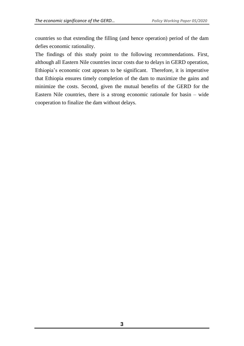countries so that extending the filling (and hence operation) period of the dam defies economic rationality.

The findings of this study point to the following recommendations. First, although all Eastern Nile countries incur costs due to delays in GERD operation, Ethiopia's economic cost appears to be significant. Therefore, it is imperative that Ethiopia ensures timely completion of the dam to maximize the gains and minimize the costs. Second, given the mutual benefits of the GERD for the Eastern Nile countries, there is a strong economic rationale for basin – wide cooperation to finalize the dam without delays.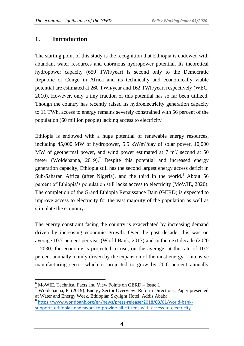# <span id="page-8-0"></span>**1. Introduction**

The starting point of this study is the recognition that Ethiopia is endowed with abundant water resources and enormous hydropower potential. Its theoretical hydropower capacity (650 TWh/year) is second only to the Democratic Republic of Congo in Africa and its technically and economically viable potential are estimated at 260 TWh/year and 162 TWh/year, respectively (WEC, 2010). However, only a tiny fraction of this potential has so far been utilized. Though the country has recently raised its hydroelectricity generation capacity to 11 TWh, access to energy remains severely constrained with 56 percent of the population (60 million people) lacking access to electricity<sup>6</sup>.

Ethiopia is endowed with a huge potential of renewable energy resources, including 45,000 MW of hydropower, 5.5 kW/m<sup>2</sup>/day of solar power, 10,000 MW of geothermal power, and wind power estimated at 7  $m^2$ / second at 50 meter (Woldehanna, 2019).<sup>7</sup> Despite this potential and increased energy generation capacity, Ethiopia still has the second largest energy access deficit in Sub-Saharan Africa (after Nigeria), and the third in the world.<sup>8</sup> About 56 percent of Ethiopia's population still lacks access to electricity (MoWIE, 2020). The completion of the Grand Ethiopia Renaissance Dam (GERD) is expected to improve access to electricity for the vast majority of the population as well as stimulate the economy.

The energy constraint facing the country is exacerbated by increasing demand driven by increasing economic growth. Over the past decade, this was on average 10.7 percent per year (World Bank, 2013) and in the next decade (2020  $-$  2030) the economy is projected to rise, on the average, at the rate of 10.2 percent annually mainly driven by the expansion of the most energy – intensive manufacturing sector which is projected to grow by 20.6 percent annually

 $\overline{a}$ 

<sup>6</sup> MoWIE, Technical Facts and View Points on GERD – Issue 1

<sup>7</sup> Woldehanna, F. (2019). Energy Sector Overview: Reform Directions, Paper presented at Water and Energy Week, Ethiopian Skylight Hotel, Addis Ababa. 8 [https://www.worldbank.org/en/news/press-release/2018/03/01/world-bank-](https://www.worldbank.org/en/news/press-release/2018/03/01/world-bank-supports-ethiopias-endeavors-to-provide-all-citizens-with-access-to-electricity)

[supports-ethiopias-endeavors-to-provide-all-citizens-with-access-to-electricity](https://www.worldbank.org/en/news/press-release/2018/03/01/world-bank-supports-ethiopias-endeavors-to-provide-all-citizens-with-access-to-electricity)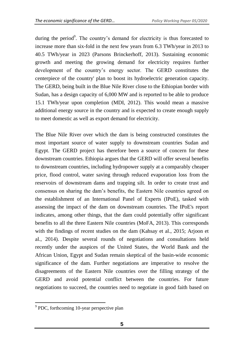during the period<sup>9</sup>. The country's demand for electricity is thus forecasted to increase more than six-fold in the next few years from 6.3 TWh/year in 2013 to 40.5 TWh/year in 2023 (Parsons Brinckerhoff, 2013). Sustaining economic growth and meeting the growing demand for electricity requires further development of the country's energy sector. The GERD constitutes the centerpiece of the country' plan to boost its hydroelectric generation capacity. The GERD, being built in the Blue Nile River close to the Ethiopian border with Sudan, has a design capacity of 6,000 MW and is reported to be able to produce 15.1 TWh/year upon completion (MDI, 2012). This would mean a massive additional energy source in the country and is expected to create enough supply to meet domestic as well as export demand for electricity.

The Blue Nile River over which the dam is being constructed constitutes the most important source of water supply to downstream countries Sudan and Egypt. The GERD project has therefore been a source of concern for these downstream countries. Ethiopia argues that the GERD will offer several benefits to downstream countries, including hydropower supply at a comparably cheaper price, flood control, water saving through reduced evaporation loss from the reservoirs of downstream dams and trapping silt. In order to create trust and consensus on sharing the dam's benefits, the Eastern Nile countries agreed on the establishment of an International Panel of Experts (IPoE), tasked with assessing the impact of the dam on downstream countries. The IPoE's report indicates, among other things, that the dam could potentially offer significant benefits to all the three Eastern Nile countries (MoFA, 2013). This corresponds with the findings of recent studies on the dam (Kahsay et al., 2015; Arjoon et al., 2014). Despite several rounds of negotiations and consultations held recently under the auspices of the United States, the World Bank and the African Union, Egypt and Sudan remain skeptical of the basin-wide economic significance of the dam. Further negotiations are imperative to resolve the disagreements of the Eastern Nile countries over the filling strategy of the GERD and avoid potential conflict between the countries. For future negotiations to succeed, the countries need to negotiate in good faith based on

 $\overline{\phantom{a}}$ <sup>9</sup> PDC, forthcoming 10-year perspective plan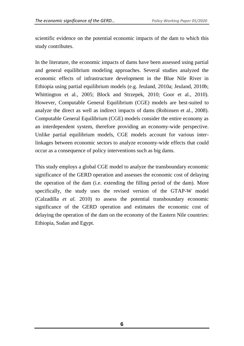scientific evidence on the potential economic impacts of the dam to which this study contributes.

In the literature, the economic impacts of dams have been assessed using partial and general equilibrium modeling approaches. Several studies analyzed the economic effects of infrastructure development in the Blue Nile River in Ethiopia using partial equilibrium models (e.g. Jeuland, 2010a; Jeuland, 2010b; Whittington et al., 2005; Block and Strzepek, 2010; Goor et al., 2010). However, Computable General Equilibrium (CGE) models are best-suited to analyze the direct as well as indirect impacts of dams (Robinsen et al., 2008). Computable General Equilibrium (CGE) models consider the entire economy as an interdependent system, therefore providing an economy-wide perspective. Unlike partial equilibrium models, CGE models account for various interlinkages between economic sectors to analyze economy-wide effects that could occur as a consequence of policy interventions such as big dams.

This study employs a global CGE model to analyze the transboundary economic significance of the GERD operation and assesses the economic cost of delaying the operation of the dam (i.e. extending the filling period of the dam). More specifically, the study uses the revised version of the GTAP-W model (Calzadilla *et al.* 2010) to assess the potential transboundary economic significance of the GERD operation and estimates the economic cost of delaying the operation of the dam on the economy of the Eastern Nile countries: Ethiopia, Sudan and Egypt.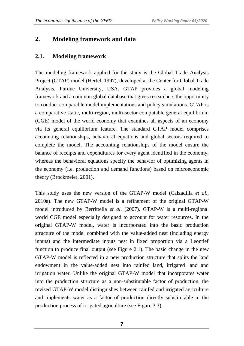# <span id="page-11-0"></span>**2. Modeling framework and data**

#### <span id="page-11-1"></span>**2.1. Modeling framework**

The modeling framework applied for the study is the Global Trade Analysis Project (GTAP) model (Hertel, 1997), developed at the Center for Global Trade Analysis, Purdue University, USA. GTAP provides a global modeling framework and a common global database that gives researchers the opportunity to conduct comparable model implementations and policy simulations. GTAP is a comparative static, multi-region, multi-sector computable general equilibrium (CGE) model of the world economy that examines all aspects of an economy via its general equilibrium feature. The standard GTAP model comprises accounting relationships, behavioral equations and global sectors required to complete the model. The accounting relationships of the model ensure the balance of receipts and expenditures for every agent identified in the economy, whereas the behavioral equations specify the behavior of optimizing agents in the economy (i.e. production and demand functions) based on microeconomic theory (Brockmeier, 2001).

This study uses the new version of the GTAP-W model (Calzadilla *et al*., 2010a). The new GTAP-W model is a refinement of the original GTAP-W model introduced by Berrittella *et al*. (2007). GTAP-W is a multi-regional world CGE model especially designed to account for water resources. In the original GTAP-W model, water is incorporated into the basic production structure of the model combined with the value-added nest (including energy inputs) and the intermediate inputs nest in fixed proportion via a Leontief function to produce final output (see Figure 2.1). The basic change in the new GTAP-W model is reflected in a new production structure that splits the land endowment in the value-added nest into rainfed land, irrigated land and irrigation water. Unlike the original GTAP-W model that incorporates water into the production structure as a non-substitutable factor of production, the revised GTAP-W model distinguishes between rainfed and irrigated agriculture and implements water as a factor of production directly substitutable in the production process of irrigated agriculture (see Figure 3.3).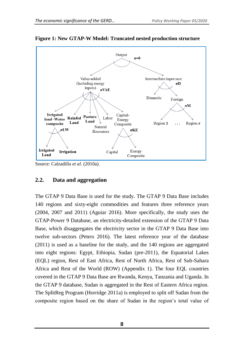

<span id="page-12-1"></span>**Figure 1: New GTAP-W Model: Truncated nested production structure**

Source: Calzadilla *et al*. (2010a).

#### <span id="page-12-0"></span>**2.2. Data and aggregation**

The GTAP 9 Data Base is used for the study. The GTAP 9 Data Base includes 140 regions and sixty-eight commodities and features three reference years (2004, 2007 and 2011) (Aguiar 2016). More specifically, the study uses the GTAP-Power 9 Database, an electricity-detailed extension of the GTAP 9 Data Base, which disaggregates the electricity sector in the GTAP 9 Data Base into twelve sub-sectors (Peters 2016). The latest reference year of the database (2011) is used as a baseline for the study, and the 140 regions are aggregated into eight regions: Egypt, Ethiopia, Sudan (pre-2011), the Equatorial Lakes (EQL) region, Rest of East Africa, Rest of North Africa, Rest of Sub-Sahara Africa and Rest of the World (ROW) (Appendix 1). The four EQL countries covered in the GTAP 9 Data Base are Rwanda, Kenya, Tanzania and Uganda. In the GTAP 9 database, Sudan is aggregated in the Rest of Eastern Africa region. The SplitReg Program (Horridge 2011a) is employed to split off Sudan from the composite region based on the share of Sudan in the region's total value of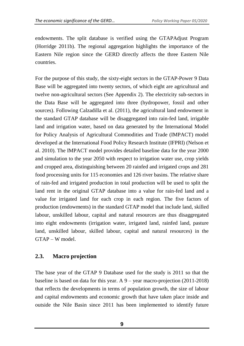endowments. The split database is verified using the GTAPAdjust Program (Horridge 2011b). The regional aggregation highlights the importance of the Eastern Nile region since the GERD directly affects the three Eastern Nile countries.

For the purpose of this study, the sixty-eight sectors in the GTAP-Power 9 Data Base will be aggregated into twenty sectors, of which eight are agricultural and twelve non-agricultural sectors (See Appendix 2). The electricity sub-sectors in the Data Base will be aggregated into three (hydropower, fossil and other sources). Following Calzadilla et al. (2011), the agricultural land endowment in the standard GTAP database will be disaggregated into rain-fed land, irrigable land and irrigation water, based on data generated by the International Model for Policy Analysis of Agricultural Commodities and Trade (IMPACT) model developed at the International Food Policy Research Institute (IFPRI) (Nelson et al. 2010). The IMPACT model provides detailed baseline data for the year 2000 and simulation to the year 2050 with respect to irrigation water use, crop yields and cropped area, distinguishing between 20 rainfed and irrigated crops and 281 food processing units for 115 economies and 126 river basins. The relative share of rain-fed and irrigated production in total production will be used to split the land rent in the original GTAP database into a value for rain-fed land and a value for irrigated land for each crop in each region. The five factors of production (endowments) in the standard GTAP model that include land, skilled labour, unskilled labour, capital and natural resources are thus disaggregated into eight endowments (irrigation water, irrigated land, rainfed land, pasture land, unskilled labour, skilled labour, capital and natural resources) in the GTAP – W model.

#### <span id="page-13-0"></span>**2.3. Macro projection**

The base year of the GTAP 9 Database used for the study is 2011 so that the baseline is based on data for this year. A 9 – year macro-projection (2011-2018) that reflects the developments in terms of population growth, the size of labour and capital endowments and economic growth that have taken place inside and outside the Nile Basin since 2011 has been implemented to identify future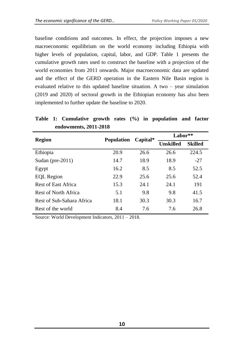baseline conditions and outcomes. In effect, the projection imposes a new macroeconomic equilibrium on the world economy including Ethiopia with higher levels of population, capital, labor, and GDP. Table 1 presents the cumulative growth rates used to construct the baseline with a projection of the world economies from 2011 onwards. Major macroeconomic data are updated and the effect of the GERD operation in the Eastern Nile Basin region is evaluated relative to this updated baseline situation. A two – year simulation (2019 and 2020) of sectoral growth in the Ethiopian economy has also been implemented to further update the baseline to 2020.

| $\frac{1}{2}$              |                   |          |                  |                |
|----------------------------|-------------------|----------|------------------|----------------|
| <b>Region</b>              |                   |          | Labor**          |                |
|                            | <b>Population</b> | Capital* | <b>Unskilled</b> | <b>Skilled</b> |
| Ethiopia                   | 20.9              | 26.6     | 26.6             | 224.5          |
| Sudan (pre- $2011$ )       | 14.7              | 18.9     | 18.9             | $-27$          |
| Egypt                      | 16.2              | 8.5      | 8.5              | 52.5           |
| <b>EQL</b> Region          | 22.9              | 25.6     | 25.6             | 52.4           |
| <b>Rest of East Africa</b> | 15.3              | 24.1     | 24.1             | 191            |
| Rest of North Africa       | 5.1               | 9.8      | 9.8              | 41.5           |
| Rest of Sub-Sahara Africa  | 18.1              | 30.3     | 30.3             | 16.7           |
| Rest of the world          | 8.4               | 7.6      | 7.6              | 26.8           |

#### <span id="page-14-0"></span>**Table 1: Cumulative growth rates (%) in population and factor endowments, 2011-2018**

Source: World Development Indicators, 2011 – 2018.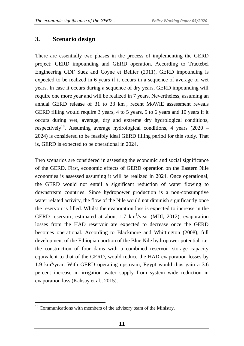# <span id="page-15-0"></span>**3. Scenario design**

There are essentially two phases in the process of implementing the GERD project: GERD impounding and GERD operation. According to Tractebel Engineering GDF Suez and Coyne et Bellier (2011), GERD impounding is expected to be realized in 6 years if it occurs in a sequence of average or wet years. In case it occurs during a sequence of dry years, GERD impounding will require one more year and will be realized in 7 years. Nevertheless, assuming an annual GERD release of 31 to 33  $km^3$ , recent MoWIE assessment reveals GERD filling would require 3 years, 4 to 5 years, 5 to 6 years and 10 years if it occurs during wet, average, dry and extreme dry hydrological conditions, respectively<sup>10</sup>. Assuming average hydrological conditions, 4 years (2020 – 2024) is considered to be feasibly ideal GERD filling period for this study. That is, GERD is expected to be operational in 2024.

Two scenarios are considered in assessing the economic and social significance of the GERD. First, economic effects of GERD operation on the Eastern Nile economies is assessed assuming it will be realized in 2024. Once operational, the GERD would not entail a significant reduction of water flowing to downstream countries. Since hydropower production is a non-consumptive water related activity, the flow of the Nile would not diminish significantly once the reservoir is filled. Whilst the evaporation loss is expected to increase in the GERD reservoir, estimated at about  $1.7 \text{ km}^3/\text{year}$  (MDI, 2012), evaporation losses from the HAD reservoir are expected to decrease once the GERD becomes operational. According to Blackmore and Whittington (2008), full development of the Ethiopian portion of the Blue Nile hydropower potential, i.e. the construction of four dams with a combined reservoir storage capacity equivalent to that of the GERD, would reduce the HAD evaporation losses by 1.9 km<sup>3</sup> /year. With GERD operating upstream, Egypt would thus gain a 3.6 percent increase in irrigation water supply from system wide reduction in evaporation loss (Kahsay et al., 2015).

 $\overline{\phantom{a}}$  $10$  Communications with members of the advisory team of the Ministry.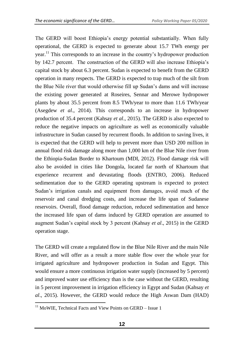The GERD will boost Ethiopia's energy potential substantially. When fully operational, the GERD is expected to generate about 15.7 TWh energy per year.<sup>11</sup> This corresponds to an increase in the country's hydropower production by 142.7 percent. The construction of the GERD will also increase Ethiopia's capital stock by about 6.3 percent. Sudan is expected to benefit from the GERD operation in many respects. The GERD is expected to trap much of the silt from the Blue Nile river that would otherwise fill up Sudan's dams and will increase the existing power generated at Roseires, Sennar and Merowe hydropower plants by about 35.5 percent from 8.5 TWh/year to more than 11.6 TWh/year (Asegdew *et al*., 2014). This corresponds to an increase in hydropower production of 35.4 percent (Kahsay *et al*., 2015). The GERD is also expected to reduce the negative impacts on agriculture as well as economically valuable infrastructure in Sudan caused by recurrent floods. In addition to saving lives, it is expected that the GERD will help to prevent more than USD 200 million in annual flood risk damage along more than 1,000 km of the Blue Nile river from the Ethiopia-Sudan Border to Khartoum (MDI, 2012). Flood damage risk will also be avoided in cities like Dongola, located far north of Khartoum that experience recurrent and devastating floods (ENTRO, 2006). Reduced sedimentation due to the GERD operating upstream is expected to protect Sudan's irrigation canals and equipment from damages, avoid much of the reservoir and canal dredging costs, and increase the life span of Sudanese reservoirs. Overall, flood damage reduction, reduced sedimentation and hence the increased life span of dams induced by GERD operation are assumed to augment Sudan's capital stock by 3 percent (Kahsay *et al*., 2015) in the GERD operation stage.

The GERD will create a regulated flow in the Blue Nile River and the main Nile River, and will offer as a result a more stable flow over the whole year for irrigated agriculture and hydropower production in Sudan and Egypt. This would ensure a more continuous irrigation water supply (increased by 5 percent) and improved water use efficiency than is the case without the GERD, resulting in 5 percent improvement in irrigation efficiency in Egypt and Sudan (Kahsay *et al*., 2015). However, the GERD would reduce the High Aswan Dam (HAD)

 $\overline{\phantom{a}}$  $11$  MoWIE, Technical Facts and View Points on GERD – Issue 1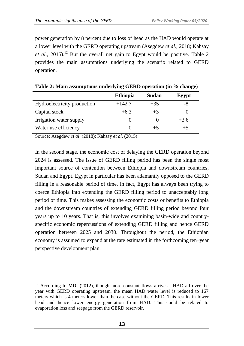power generation by 8 percent due to loss of head as the HAD would operate at a lower level with the GERD operating upstream (Asegdew *et al*., 2018; Kahsay *et al.*, 2015).<sup>12</sup> But the overall net gain to Egypt would be positive. Table 2 provides the main assumptions underlying the scenario related to GERD operation.

|                             | <b>Ethiopia</b> | Sudan    | Egypt  |
|-----------------------------|-----------------|----------|--------|
| Hydroelectricity production | $+142.7$        | $+35$    | -8     |
| Capital stock               | $+6.3$          | $+3$     |        |
| Irrigation water supply     |                 | $\theta$ | $+3.6$ |
| Water use efficiency        | 0               | $+5$     | $+5$   |

<span id="page-17-0"></span>

|  | Table 2: Main assumptions underlying GERD operation (in % change) |  |
|--|-------------------------------------------------------------------|--|
|  |                                                                   |  |

Source: Asegdew *et al*. (2018); Kahsay *et al*. (2015)

In the second stage, the economic cost of delaying the GERD operation beyond 2024 is assessed. The issue of GERD filling period has been the single most important source of contention between Ethiopia and downstream countries, Sudan and Egypt. Egypt in particular has been adamantly opposed to the GERD filling in a reasonable period of time. In fact, Egypt has always been trying to coerce Ethiopia into extending the GERD filling period to unacceptably long period of time. This makes assessing the economic costs or benefits to Ethiopia and the downstream countries of extending GERD filling period beyond four years up to 10 years. That is, this involves examining basin-wide and countryspecific economic repercussions of extending GERD filling and hence GERD operation between 2025 and 2030. Throughout the period, the Ethiopian economy is assumed to expand at the rate estimated in the forthcoming ten–year perspective development plan.

 $\overline{a}$  $12$  According to MDI (2012), though more constant flows arrive at HAD all over the year with GERD operating upstream, the mean HAD water level is reduced to 167 meters which is 4 meters lower than the case without the GERD. This results in lower head and hence lower energy generation from HAD. This could be related to evaporation loss and seepage from the GERD reservoir.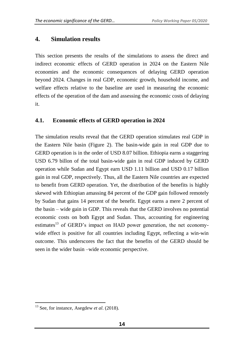## <span id="page-18-0"></span>**4. Simulation results**

This section presents the results of the simulations to assess the direct and indirect economic effects of GERD operation in 2024 on the Eastern Nile economies and the economic consequences of delaying GERD operation beyond 2024. Changes in real GDP, economic growth, household income, and welfare effects relative to the baseline are used in measuring the economic effects of the operation of the dam and assessing the economic costs of delaying it.

#### <span id="page-18-1"></span>**4.1. Economic effects of GERD operation in 2024**

The simulation results reveal that the GERD operation stimulates real GDP in the Eastern Nile basin (Figure 2). The basin-wide gain in real GDP due to GERD operation is in the order of USD 8.07 billion. Ethiopia earns a staggering USD 6.79 billon of the total basin-wide gain in real GDP induced by GERD operation while Sudan and Egypt earn USD 1.11 billion and USD 0.17 billion gain in real GDP, respectively. Thus, all the Eastern Nile countries are expected to benefit from GERD operation. Yet, the distribution of the benefits is highly skewed with Ethiopian amassing 84 percent of the GDP gain followed remotely by Sudan that gains 14 percent of the benefit. Egypt earns a mere 2 percent of the basin – wide gain in GDP. This reveals that the GERD involves no potential economic costs on both Egypt and Sudan. Thus, accounting for engineering estimates<sup>13</sup> of GERD's impact on HAD power generation, the net economywide effect is positive for all countries including Egypt, reflecting a win-win outcome. This underscores the fact that the benefits of the GERD should be seen in the wider basin –wide economic perspective.

 $\overline{\phantom{a}}$ 

<sup>13</sup> See, for instance, Asegdew *et al*. (2018).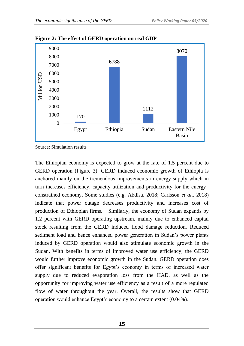

<span id="page-19-0"></span>**Figure 2: The effect of GERD operation on real GDP**

Source: Simulation results

The Ethiopian economy is expected to grow at the rate of 1.5 percent due to GERD operation (Figure 3). GERD induced economic growth of Ethiopia is anchored mainly on the tremendous improvements in energy supply which in turn increases efficiency, capacity utilization and productivity for the energy– constrained economy. Some studies (e.g. Abdisa, 2018; Carlsson *et al*., 2018) indicate that power outage decreases productivity and increases cost of production of Ethiopian firms. Similarly, the economy of Sudan expands by 1.2 percent with GERD operating upstream, mainly due to enhanced capital stock resulting from the GERD induced flood damage reduction. Reduced sediment load and hence enhanced power generation in Sudan's power plants induced by GERD operation would also stimulate economic growth in the Sudan. With benefits in terms of improved water use efficiency, the GERD would further improve economic growth in the Sudan. GERD operation does offer significant benefits for Egypt's economy in terms of increased water supply due to reduced evaporation loss from the HAD, as well as the opportunity for improving water use efficiency as a result of a more regulated flow of water throughout the year. Overall, the results show that GERD operation would enhance Egypt's economy to a certain extent (0.04%).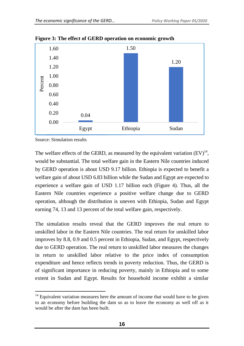

<span id="page-20-0"></span>**Figure 3: The effect of GERD operation on economic growth**

Source: Simulation results

The welfare effects of the GERD, as measured by the equivalent variation  $(EV)^{14}$ , would be substantial. The total welfare gain in the Eastern Nile countries induced by GERD operation is about USD 9.17 billion. Ethiopia is expected to benefit a welfare gain of about USD 6.83 billion while the Sudan and Egypt are expected to experience a welfare gain of USD 1.17 billion each (Figure 4). Thus, all the Eastern Nile countries experience a positive welfare change due to GERD operation, although the distribution is uneven with Ethiopia, Sudan and Egypt earning 74, 13 and 13 percent of the total welfare gain, respectively.

The simulation results reveal that the GERD improves the real return to unskilled labor in the Eastern Nile countries. The real return for unskilled labor improves by 8.8, 0.9 and 0.5 percent in Ethiopia, Sudan, and Egypt, respectively due to GERD operation. The real return to unskilled labor measures the changes in return to unskilled labor relative to the price index of consumption expenditure and hence reflects trends in poverty reduction. Thus, the GERD is of significant importance in reducing poverty, mainly in Ethiopia and to some extent in Sudan and Egypt. Results for household income exhibit a similar

 $\overline{\phantom{a}}$  $14$  Equivalent variation measures here the amount of income that would have to be given to an economy before building the dam so as to leave the economy as well off as it would be after the dam has been built.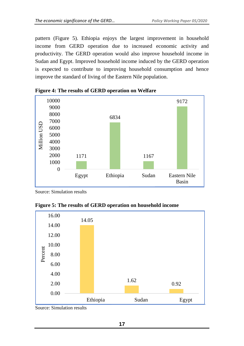pattern (Figure 5). Ethiopia enjoys the largest improvement in household income from GERD operation due to increased economic activity and productivity. The GERD operation would also improve household income in Sudan and Egypt. Improved household income induced by the GERD operation is expected to contribute to improving household consumption and hence improve the standard of living of the Eastern Nile population.



<span id="page-21-0"></span>

Source: Simulation results

<span id="page-21-1"></span>



Source: Simulation results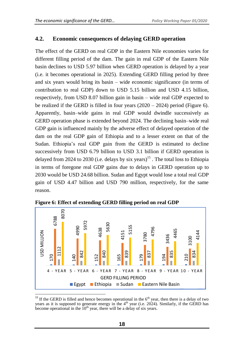#### <span id="page-22-0"></span>**4.2. Economic consequences of delaying GERD operation**

The effect of the GERD on real GDP in the Eastern Nile economies varies for different filling period of the dam. The gain in real GDP of the Eastern Nile basin declines to USD 5.97 billion when GERD operation is delayed by a year (i.e. it becomes operational in 2025). Extending GERD filling period by three and six years would bring its basin – wide economic significance (in terms of contribution to real GDP) down to USD 5.15 billion and USD 4.15 billion, respectively, from USD 8.07 billion gain in basin – wide real GDP expected to be realized if the GERD is filled in four years (2020 – 2024) period (Figure 6). Apparently, basin–wide gains in real GDP would dwindle successively as GERD operation phase is extended beyond 2024. The declining basin–wide real GDP gain is influenced mainly by the adverse effect of delayed operation of the dam on the real GDP gain of Ethiopia and to a lesser extent on that of the Sudan. Ethiopia's real GDP gain from the GERD is estimated to decline successively from USD 6.79 billion to USD 3.1 billion if GERD operation is delayed from 2024 to 2030 (i.e. delays by six years)<sup>15</sup>. The total loss to Ethiopia in terms of foregone real GDP gains due to delays in GERD operation up to 2030 would be USD 24.68 billion. Sudan and Egypt would lose a total real GDP gain of USD 4.47 billion and USD 790 million, respectively, for the same reason.



<span id="page-22-1"></span>**Figure 6: Effect of extending GERD filling period on real GDP** 

 $\overline{a}$ <sup>15</sup> If the GERD is filled and hence becomes operational in the  $6<sup>th</sup>$  year, then there is a delay of two years as it is supposed to generate energy in the  $4<sup>th</sup>$  year (i.e. 2024). Similarly, if the GERD has become operational in the  $10<sup>th</sup>$  year, there will be a delay of six years.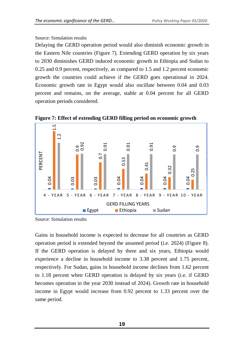#### Source: Simulation results

Delaying the GERD operation period would also diminish economic growth in the Eastern Nile countries (Figure 7). Extending GERD operation by six years to 2030 diminishes GERD induced economic growth in Ethiopia and Sudan to 0.25 and 0.9 percent, respectively, as compared to 1.5 and 1.2 percent economic growth the countries could achieve if the GERD goes operational in 2024. Economic growth rate in Egypt would also oscillate between 0.04 and 0.03 percent and remains, on the average, stable at 0.04 percent for all GERD operation periods considered.



<span id="page-23-0"></span>**Figure 7: Effect of extending GERD filling period on economic growth**

Source: Simulation results

Gains in household income is expected to decrease for all countries as GERD operation period is extended beyond the assumed period (i.e. 2024) (Figure 8). If the GERD operation is delayed by three and six years, Ethiopia would experience a decline in household income to 3.38 percent and 1.75 percent, respectively. For Sudan, gains in household income declines from 1.62 percent to 1.18 percent when GERD operation is delayed by six years (i.e. if GERD becomes operation in the year 2030 instead of 2024). Growth rate in household income in Egypt would increase from 0.92 percent to 1.33 percent over the E<br>
4 - YEAR<br>
4 - YEAR<br>
Source: Simul<br>
Gains in hou<br>
operation period.<br>
If the GERI<br>
experience a<br>
respectively.<br>
to 1.18 perc<br>
becomes ope<br>
income in E<br>
same period.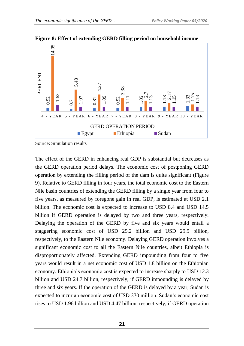

**Figure 8: Effect of extending GERD filling period on household income** 

Source: Simulation results

The effect of the GERD in enhancing real GDP is substantial but decreases as the GERD operation period delays. The economic cost of postponing GERD operation by extending the filling period of the dam is quite significant (Figure 9). Relative to GERD filling in four years, the total economic cost to the Eastern Nile basin countries of extending the GERD filling by a single year from four to five years, as measured by foregone gain in real GDP, is estimated at USD 2.1 billion. The economic cost is expected to increase to USD 8.4 and USD 14.5 billion if GERD operation is delayed by two and three years, respectively. Delaying the operation of the GERD by five and six years would entail a staggering economic cost of USD 25.2 billion and USD 29.9 billion, respectively, to the Eastern Nile economy. Delaying GERD operation involves a significant economic cost to all the Eastern Nile countries, albeit Ethiopia is disproportionately affected. Extending GERD impounding from four to five years would result in a net economic cost of USD 1.8 billion on the Ethiopian economy. Ethiopia's economic cost is expected to increase sharply to USD 12.3 billion and USD 24.7 billion, respectively, if GERD impounding is delayed by three and six years. If the operation of the GERD is delayed by a year, Sudan is expected to incur an economic cost of USD 270 million. Sudan's economic cost **Example 1.96 billion** and USD 1.4.5 billion and USD 1.4.7 billion and USD 4.47 billion, respectively, if GERD impounding its of the CERD operation period of the dam is quite significant (Tigure 1.92 0.92 0.1 0.92 0.92 0.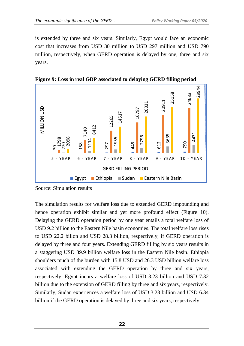is extended by three and six years. Similarly, Egypt would face an economic cost that increases from USD 30 million to USD 297 million and USD 790 million, respectively, when GERD operation is delayed by one, three and six years.



<span id="page-26-0"></span>**Figure 9: Loss in real GDP associated to delaying GERD filling period**

Source: Simulation results

The simulation results for welfare loss due to extended GERD impounding and hence operation exhibit similar and yet more profound effect (Figure 10). Delaying the GERD operation period by one year entails a total welfare loss of USD 9.2 billion to the Eastern Nile basin economies. The total welfare loss rises to USD 22.2 billon and USD 28.3 billion, respectively, if GERD operation is delayed by three and four years. Extending GERD filling by six years results in a staggering USD 39.9 billion welfare loss in the Eastern Nile basin. Ethiopia shoulders much of the burden with 15.8 USD and 26.3 USD billion welfare loss associated with extending the GERD operation by three and six years, respectively. Egypt incurs a welfare loss of USD 3.23 billion and USD 7.32 billion due to the extension of GERD filling by three and six years, respectively. Similarly, Sudan experiences a welfare loss of USD 3.23 billion and USD 6.34 **Billion** if the GERD operation is delayed by three and six years, respectively.<br>Billion if the GERD operation is delayed by three and six years, respectively. Such that concerned also the state of the state of the state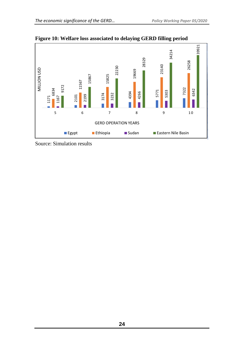

**Figure 10: Welfare loss associated to delaying GERD filling period**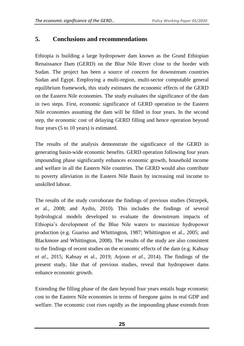# <span id="page-29-0"></span>**5. Conclusions and recommendations**

Ethiopia is building a large hydropower dam known as the Grand Ethiopian Renaissance Dam (GERD) on the Blue Nile River close to the border with Sudan. The project has been a source of concern for downstream countries Sudan and Egypt. Employing a multi-region, multi-sector computable general equilibrium framework, this study estimates the economic effects of the GERD on the Eastern Nile economies. The study evaluates the significance of the dam in two steps. First, economic significance of GERD operation to the Eastern Nile economies assuming the dam will be filled in four years. In the second step, the economic cost of delaying GERD filling and hence operation beyond four years (5 to 10 years) is estimated.

The results of the analysis demonstrate the significance of the GERD in generating basin-wide economic benefits. GERD operation following four years impounding phase significantly enhances economic growth, household income and welfare in all the Eastern Nile countries. The GERD would also contribute to poverty alleviation in the Eastern Nile Basin by increasing real income to unskilled labour.

The results of the study corroborate the findings of previous studies (Strzepek, et al., 2008; and Aydin, 2010). This includes the findings of several hydrological models developed to evaluate the downstream impacts of Ethiopia's development of the Blue Nile waters to maximize hydropower production (e.g. Guariso and Whittington, 1987; Whittington et al., 2005; and Blackmore and Whittington, 2008). The results of the study are also consistent to the findings of recent studies on the economic effects of the dam (e.g. Kahsay *et al*., 2015; Kahsay et al., 2019; Arjoon *et al*., 2014). The findings of the present study, like that of previous studies, reveal that hydropower dams enhance economic growth.

Extending the filling phase of the dam beyond four years entails huge economic cost to the Eastern Nile economies in terms of foregone gains in real GDP and welfare. The economic cost rises rapidly as the impounding phase extends from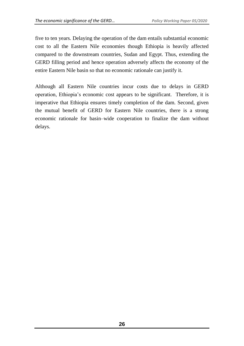five to ten years. Delaying the operation of the dam entails substantial economic cost to all the Eastern Nile economies though Ethiopia is heavily affected compared to the downstream countries, Sudan and Egypt. Thus, extending the GERD filling period and hence operation adversely affects the economy of the entire Eastern Nile basin so that no economic rationale can justify it.

Although all Eastern Nile countries incur costs due to delays in GERD operation, Ethiopia's economic cost appears to be significant. Therefore, it is imperative that Ethiopia ensures timely completion of the dam. Second, given the mutual benefit of GERD for Eastern Nile countries, there is a strong economic rationale for basin–wide cooperation to finalize the dam without delays.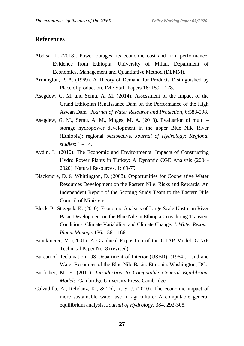#### <span id="page-31-0"></span>**References**

- Abdisa, L. (2018). Power outages, its economic cost and firm performance: Evidence from Ethiopia, University of Milan, Department of Economics, Management and Quantitative Method (DEMM).
- Armington, P. A. (1969). A Theory of Demand for Products Distinguished by Place of production. IMF Staff Papers 16: 159 – 178.
- Asegdew, G. M. and Semu, A. M. (2014). Assessment of the Impact of the Grand Ethiopian Renaissance Dam on the Performance of the High Aswan Dam. *Journal of Water Resource and Protection,* 6:583-598.
- Asegdew, G. M., Semu, A. M., Moges, M. A. (2018). Evaluation of multi storage hydropower development in the upper Blue Nile River (Ethiopia): regional perspective. *Journal of Hydrology: Regional studies*: 1 – 14.
- Aydin, L. (2010). The Economic and Environmental Impacts of Constructing Hydro Power Plants in Turkey: A Dynamic CGE Analysis (2004- 2020). Natural Resources, 1: 69-79.
- Blackmore, D. & Whittington, D. (2008). Opportunities for Cooperative Water Resources Development on the Eastern Nile: Risks and Rewards. An Independent Report of the Scoping Study Team to the Eastern Nile Council of Ministers.
- Block, P., Strzepek, K. (2010). Economic Analysis of Large-Scale Upstream River Basin Development on the Blue Nile in Ethiopia Considering Transient Conditions, Climate Variability, and Climate Change. *J. Water Resour. Plann. Manage*. 136: 156 – 166.
- Brockmeier, M. (2001). A Graphical Exposition of the GTAP Model. GTAP Technical Paper No. 8 (revised).
- Bureau of Reclamation, US Department of Interior (USBR). (1964). Land and Water Resources of the Blue Nile Basin: Ethiopia. Washington, DC.
- Burfisher, M. E. (2011). *Introduction to Computable General Equilibrium Models.* Cambridge University Press, Cambridge.
- Calzadilla, A., Rehdanz, K., & Tol, R. S. J. (2010). The economic impact of more sustainable water use in agriculture: A computable general equilibrium analysis. *Journal of Hydrology*, 384, 292-305.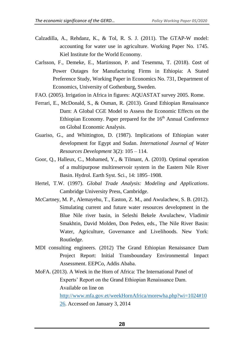- Calzadilla, A., Rehdanz, K., & Tol, R. S. J. (2011). The GTAP-W model: accounting for water use in agriculture. Working Paper No. 1745. Kiel Institute for the World Economy.
- Carlsson, F., Demeke, E., Martinsson, P. and Tesemma, T. (2018). Cost of Power Outages for Manufacturing Firms in Ethiopia: A Stated Preference Study, Working Paper in Economics No. 731, Department of Economics, University of Gothenburg, Sweden.
- FAO. (2005). Irrigation in Africa in figures: AQUASTAT survey 2005. Rome.
- Ferrari, E., McDonald, S., & Osman, R. (2013). Grand Ethiopian Renaissance Dam: A Global CGE Model to Assess the Economic Effects on the Ethiopian Economy. Paper prepared for the 16<sup>th</sup> Annual Conference on Global Economic Analysis.
- Guariso, G., and Whittington, D. (1987). Implications of Ethiopian water development for Egypt and Sudan. *International Journal of Water Resources Development* 3(2): 105 – 114.
- Goor, Q., Halleux, C., Mohamed, Y., & Tilmant, A. (2010). Optimal operation of a multipurpose multireservoir system in the Eastern Nile River Basin. Hydrol. Earth Syst. Sci., 14: 1895–1908.
- Hertel, T.W. (1997). *Global Trade Analysis: Modeling and Applications*. Cambridge University Press, Cambridge.
- McCartney, M. P., Alemayehu, T., Easton, Z. M., and Awulachew, S. B. (2012). Simulating current and future water resources development in the Blue Nile river basin, in Seleshi Bekele Awulachew, Vladimir Smakhtin, David Molden, Don Peden, eds., The Nile River Basin: Water, Agriculture, Governance and Livelihoods. New York: Routledge.
- MDI consulting engineers. (2012) The Grand Ethiopian Renaissance Dam Project Report: Initial Transboundary Environmental Impact Assessment. EEPCo, Addis Ababa.
- MoFA. (2013). A Week in the Horn of Africa: The International Panel of Experts' Report on the Grand Ethiopian Renaissance Dam. Available on line on [http://www.mfa.gov.et/weekHornAfrica/morewha.php?wi=1024#10](http://www.mfa.gov.et/weekHornAfrica/morewha.php?wi=1024#1026)

[26.](http://www.mfa.gov.et/weekHornAfrica/morewha.php?wi=1024#1026) Accessed on January 3, 2014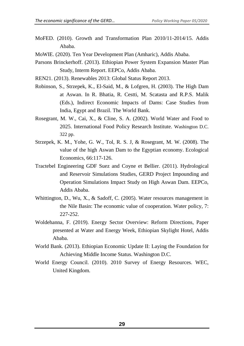- MoFED. (2010). Growth and Transformation Plan 2010/11-2014/15. Addis Ababa.
- MoWIE. (2020). Ten Year Development Plan (Amharic), Addis Ababa.
- Parsons Brinckerhoff. (2013). Ethiopian Power System Expansion Master Plan Study, Interm Report. EEPCo, Addis Ababa.
- REN21. (2013). Renewables 2013: Global Status Report 2013.
- Robinson, S., Strzepek, K., El-Said, M., & Lofgren, H. (2003). The High Dam at Aswan. In R. Bhatia, R. Cestti, M. Scatasta and R.P.S. Malik (Eds.), Indirect Economic Impacts of Dams: Case Studies from India, Egypt and Brazil. The World Bank.
- Rosegrant, M. W., Cai, X., & Cline, S. A. (2002). World Water and Food to 2025. International Food Policy Research Institute. Washington D.C. 322 pp.
- Strzepek, K. M., Yohe, G. W., Tol, R. S. J, & Rosegrant, M. W. (2008). The value of the high Aswan Dam to the Egyptian economy. Ecological Economics, 66:117-126.
- Tractebel Engineering GDF Suez and Coyne et Bellier. (2011). Hydrological and Reservoir Simulations Studies, GERD Project Impounding and Operation Simulations Impact Study on High Aswan Dam. EEPCo, Addis Ababa.
- Whittington, D., Wu, X., & Sadoff, C. (2005). Water resources management in the Nile Basin: The economic value of cooperation. Water policy, 7: 227-252.
- Woldehanna, F. (2019). Energy Sector Overview: Reform Directions, Paper presented at Water and Energy Week, Ethiopian Skylight Hotel, Addis Ababa.
- World Bank. (2013). Ethiopian Economic Update II: Laying the Foundation for Achieving Middle Income Status. Washington D.C.
- World Energy Council. (2010). 2010 Survey of Energy Resources. WEC, United Kingdom.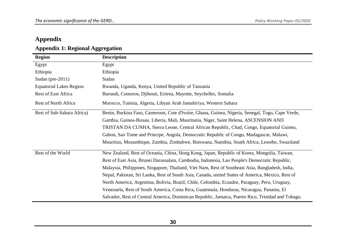# **Appendix**

# **Appendix 1: Regional Aggregation**

<span id="page-34-0"></span>

| <b>Region</b>                  | <b>Description</b>                                                                                |
|--------------------------------|---------------------------------------------------------------------------------------------------|
| Egypt                          | Egypt                                                                                             |
| Ethiopia                       | Ethiopia                                                                                          |
| Sudan (pre-2011)               | Sudan                                                                                             |
| <b>Equatorial Lakes Region</b> | Rwanda, Uganda, Kenya, United Republic of Tanzania                                                |
| <b>Rest of East Africa</b>     | Burundi, Comoros, Djibouti, Eritrea, Mayotte, Seychelles, Somalia                                 |
| Rest of North Africa           | Morocco, Tunisia, Algeria, Libyan Arab Jamahiriya, Western Sahara                                 |
| Rest of Sub-Sahara Africa)     | Benin, Burkina Faso, Cameroon, Cote d'Ivoire, Ghana, Guinea, Nigeria, Senegal, Togo, Cape Verde,  |
|                                | Gambia, Guinea-Bissau, Liberia, Mali, Mauritania, Niger, Saint Helena, ASCENSION AND              |
|                                | TRISTAN DA CUNHA, Sierra Leone, Central African Republic, Chad, Congo, Equatorial Guinea,         |
|                                | Gabon, Sao Tome and Principe, Angola, Democratic Republic of Congo, Madagascar, Malawi,           |
|                                | Mauritius, Mozambique, Zambia, Zimbabwe, Botswana, Namibia, South Africa, Lesotho, Swaziland      |
| Rest of the World              | New Zealand, Rest of Oceania, China, Hong Kong, Japan, Republic of Korea, Mongolia, Taiwan,       |
|                                | Rest of East Asia, Brunei Darussalam, Cambodia, Indonesia, Lao People's Democratic Republic,      |
|                                | Malaysia, Philippines, Singapore, Thailand, Viet Nam, Rest of Southeast Asia, Bangladesh, India,  |
|                                | Nepal, Pakistan, Sri Lanka, Rest of South Asia, Canada, united States of America, Mexico, Rest of |
|                                | North America, Argentina, Bolivia, Brazil, Chile, Colombia, Ecuador, Paraguay, Peru, Uruguay,     |
|                                | Venezuela, Rest of South America, Costa Rica, Guatemala, Honduras, Nicaragua, Panama, El          |
|                                | Salvador, Rest of Central America, Dominican Republic, Jamaica, Puerto Rico, Trinidad and Tobago, |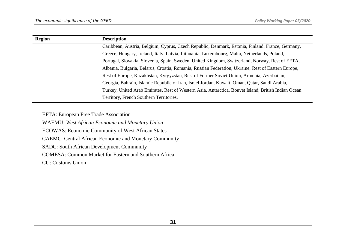| <b>Region</b> | <b>Description</b>                                                                                  |
|---------------|-----------------------------------------------------------------------------------------------------|
|               | Caribbean, Austria, Belgium, Cyprus, Czech Republic, Denmark, Estonia, Finland, France, Germany,    |
|               | Greece, Hungary, Ireland, Italy, Latvia, Lithuania, Luxembourg, Malta, Netherlands, Poland,         |
|               | Portugal, Slovakia, Slovenia, Spain, Sweden, United Kingdom, Switzerland, Norway, Rest of EFTA,     |
|               | Albania, Bulgaria, Belarus, Croatia, Romania, Russian Federation, Ukraine, Rest of Eastern Europe,  |
|               | Rest of Europe, Kazakhstan, Kyrgyzstan, Rest of Former Soviet Union, Armenia, Azerbaijan,           |
|               | Georgia, Bahrain, Islamic Republic of Iran, Israel Jordan, Kuwait, Oman, Qatar, Saudi Arabia,       |
|               | Turkey, United Arab Emirates, Rest of Western Asia, Antarctica, Bouvet Island, British Indian Ocean |
|               | Territory, French Southern Territories.                                                             |

EFTA: European Free Trade Association

WAEMU: *[West African Economic and Monetary Union](http://www.google.co.uk/url?sa=t&rct=j&q=&esrc=s&source=web&cd=2&cad=rja&uact=8&sqi=2&ved=0CDwQFjAB&url=http%3A%2F%2Fwww.imf.org%2Fexternal%2Fpubs%2Fft%2Fscr%2F2013%2Fcr1392.pdf&ei=GvF5U5yJFsOyyAPUl4GYBw&usg=AFQjCNHxxhsg2WbshWUhVx_OAa20nAbYRQ&sig2=P6lwvmbSydlcCytXDGVEwA&bvm=bv.66917471,d.bGQ)* ECOWAS: Economic Community of West African States CAEMC: Central African Economic and Monetary Community SADC: South African Development Community COMESA: Common Market for Eastern and Southern Africa CU: Customs Union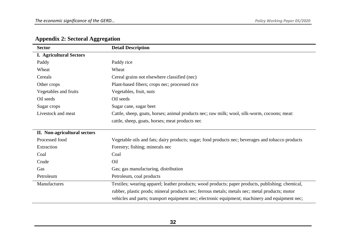| <b>Sector</b>                  | <b>Detail Description</b>                                                                         |
|--------------------------------|---------------------------------------------------------------------------------------------------|
| <b>I. Agricultural Sectors</b> |                                                                                                   |
| Paddy                          | Paddy rice                                                                                        |
| Wheat                          | Wheat                                                                                             |
| Cereals                        | Cereal grains not elsewhere classified (nec)                                                      |
| Other crops                    | Plant-based fibers; crops nec; processed rice                                                     |
| Vegetables and fruits          | Vegetables, fruit, nuts                                                                           |
| Oil seeds                      | Oil seeds                                                                                         |
| Sugar crops                    | Sugar cane, sugar beet                                                                            |
| Livestock and meat             | Cattle, sheep, goats, horses; animal products nec; raw milk; wool, silk-worm, cocoons; meat:      |
|                                | cattle, sheep, goats, horses; meat products nec                                                   |
| II. Non-agricultural sectors   |                                                                                                   |
| Processed food                 | Vegetable oils and fats; dairy products; sugar; food products nec; beverages and tobacco products |
| Extraction                     | Forestry; fishing; minerals nec                                                                   |
| Coal                           | Coal                                                                                              |
| Crude                          | Oil                                                                                               |
| Gas                            | Gas; gas manufacturing, distribution                                                              |
| Petroleum                      | Petroleum, coal products                                                                          |
| Manufactures                   | Textiles; wearing apparel; leather products; wood products; paper products, publishing; chemical, |
|                                | rubber, plastic prods; mineral products nec; ferrous metals; metals nec; metal products; motor    |
|                                | vehicles and parts; transport equipment nec; electronic equipment; machinery and equipment nec;   |

# **Appendix 2: Sectoral Aggregation**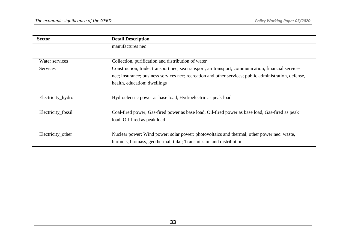| <b>Sector</b>      | <b>Detail Description</b>                                                                             |
|--------------------|-------------------------------------------------------------------------------------------------------|
|                    | manufactures nec                                                                                      |
|                    |                                                                                                       |
| Water services     | Collection, purification and distribution of water                                                    |
| <b>Services</b>    | Construction; trade; transport nec; sea transport; air transport; communication; financial services   |
|                    | nec; insurance; business services nec; recreation and other services; public administration, defense, |
|                    | health, education; dwellings                                                                          |
|                    |                                                                                                       |
| Electricity_hydro  | Hydroelectric power as base load, Hydroelectric as peak load                                          |
|                    |                                                                                                       |
| Electricity_fossil | Coal-fired power, Gas-fired power as base load, Oil-fired power as base load, Gas-fired as peak       |
|                    | load, Oil-fired as peak load                                                                          |
|                    |                                                                                                       |
| Electricity_other  | Nuclear power; Wind power; solar power: photovoltaics and thermal; other power nec: waste,            |
|                    | biofuels, biomass, geothermal, tidal; Transmission and distribution                                   |